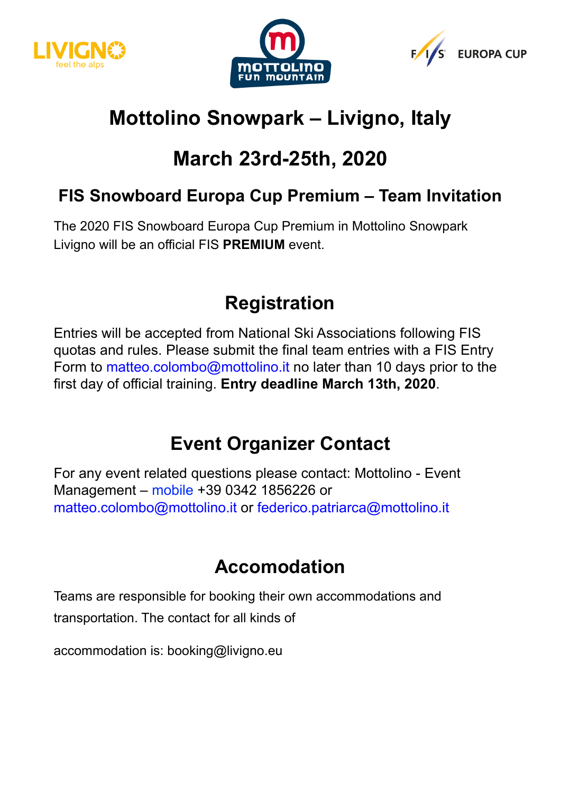





# **Mottolino Snowpark – Livigno, Italy**

# **March 23rd-25th, 2020**

### **FIS Snowboard Europa Cup Premium – Team Invitation**

The 2020 FIS Snowboard Europa Cup Premium in Mottolino Snowpark Livigno will be an official FIS **PREMIUM** event.

### **Registration**

Entries will be accepted from National Ski Associations following FIS quotas and rules. Please submit the final team entries with a FIS Entry Form to matteo.colombo@mottolino.it no later than 10 days prior to the first day of official training. **Entry deadline March 13th, 2020**.

# **Event Organizer Contact**

For any event related questions please contact: Mottolino - Event Management – mobile +39 0342 1856226 or matteo.colombo@mottolino.it or federico.patriarca@mottolino.it

### **Accomodation**

Teams are responsible for booking their own accommodations and transportation. The contact for all kinds of

accommodation is: booking@livigno.eu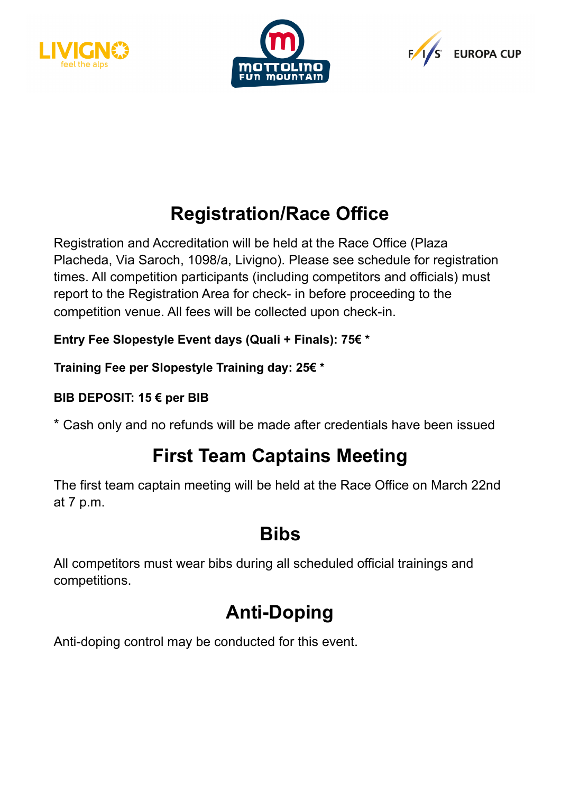





## **Registration/Race Office**

Registration and Accreditation will be held at the Race Office (Plaza Placheda, Via Saroch, 1098/a, Livigno). Please see schedule for registration times. All competition participants (including competitors and officials) must report to the Registration Area for check- in before proceeding to the competition venue. All fees will be collected upon check-in.

**Entry Fee Slopestyle Event days (Quali + Finals): 75€ \*** 

**Training Fee per Slopestyle Training day: 25€ \*** 

### **BIB DEPOSIT: 15 € per BIB**

\* Cash only and no refunds will be made after credentials have been issued

## **First Team Captains Meeting**

The first team captain meeting will be held at the Race Office on March 22nd at 7 p.m.

### **Bibs**

All competitors must wear bibs during all scheduled official trainings and competitions.

# **Anti-Doping**

Anti-doping control may be conducted for this event.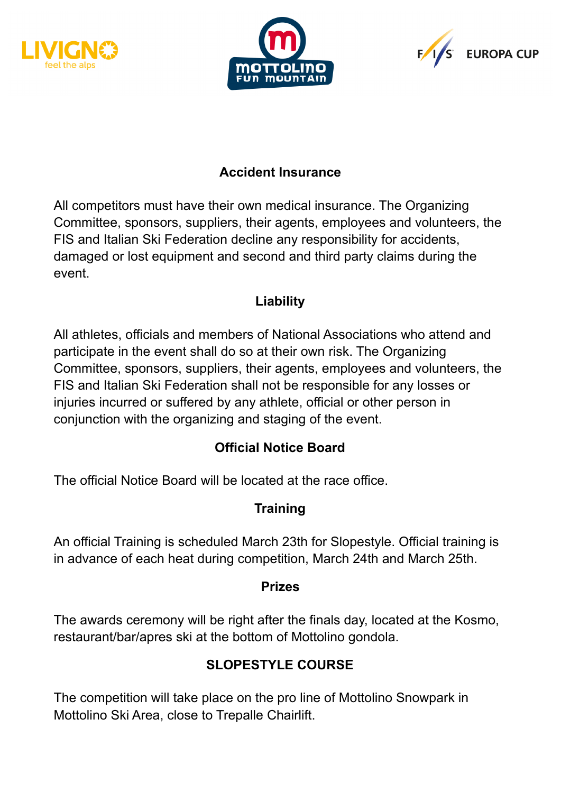





### **Accident Insurance**

All competitors must have their own medical insurance. The Organizing Committee, sponsors, suppliers, their agents, employees and volunteers, the FIS and Italian Ski Federation decline any responsibility for accidents, damaged or lost equipment and second and third party claims during the event.

#### **Liability**

All athletes, officials and members of National Associations who attend and participate in the event shall do so at their own risk. The Organizing Committee, sponsors, suppliers, their agents, employees and volunteers, the FIS and Italian Ski Federation shall not be responsible for any losses or injuries incurred or suffered by any athlete, official or other person in conjunction with the organizing and staging of the event.

### **Official Notice Board**

The official Notice Board will be located at the race office.

### **Training**

An official Training is scheduled March 23th for Slopestyle. Official training is in advance of each heat during competition, March 24th and March 25th.

#### **Prizes**

The awards ceremony will be right after the finals day, located at the Kosmo, restaurant/bar/apres ski at the bottom of Mottolino gondola.

### **SLOPESTYLE COURSE**

The competition will take place on the pro line of Mottolino Snowpark in Mottolino Ski Area, close to Trepalle Chairlift.